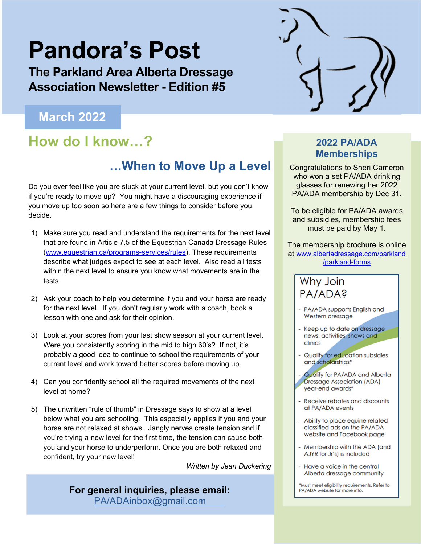# **Pandora's Post**

**The Parkland Area Alberta Dressage Association Newsletter - Edition #5** 

### **March 2022**

### **How do I know…? 2022 PA/ADA**

### **…When to Move Up a Level**

Do you ever feel like you are stuck at your current level, but you don't know if you're ready to move up? You might have a discouraging experience if you move up too soon so here are a few things to consider before you decide.

- 1) Make sure you read and understand the requirements for the next level that are found in Article 7.5 of the Equestrian Canada Dressage Rules (www.equestrian.ca/programs-services/rules). These requirements describe what judges expect to see at each level. Also read all tests within the next level to ensure you know what movements are in the tests.
- 2) Ask your coach to help you determine if you and your horse are ready for the next level. If you don't regularly work with a coach, book a lesson with one and ask for their opinion.
- 3) Look at your scores from your last show season at your current level. Were you consistently scoring in the mid to high 60's? If not, it's probably a good idea to continue to school the requirements of your current level and work toward better scores before moving up.
- 4) Can you confidently school all the required movements of the next level at home?
- 5) The unwritten "rule of thumb" in Dressage says to show at a level below what you are schooling. This especially applies if you and your horse are not relaxed at shows. Jangly nerves create tension and if you're trying a new level for the first time, the tension can cause both you and your horse to underperform. Once you are both relaxed and confident, try your new level!

 *Written by Jean Duckering* 

**For general inquiries, please email:**  PA/ADAinbox@gmail.com

## **Memberships**

Congratulations to Sheri Cameron who won a set PA/ADA drinking glasses for renewing her 2022 PA/ADA membership by Dec 31.

To be eligible for PA/ADA awards and subsidies, membership fees must be paid by May 1.

The membership brochure is online at www.albertadressage.com/parkland /parkland-forms

### Why Join PA/ADA?

- PA/ADA supports English and Western dressage
- Keep up to date on dressage news, activities, shows and clinics
- Qualify for education subsidies and scholarships\*
- Qualify for PA/ADA and Alberta **Dressage Association (ADA)** year-end awards\*
- Receive rebates and discounts at PA/ADA events
- Ability to place equine related classified ads on the PA/ADA website and Facebook page
- Membership with the ADA (and AJYR for Jr's) is included
- Have a voice in the central Alberta dressage community

\*Must meet eligibility requirements. Refer to PA/ADA website for more info.